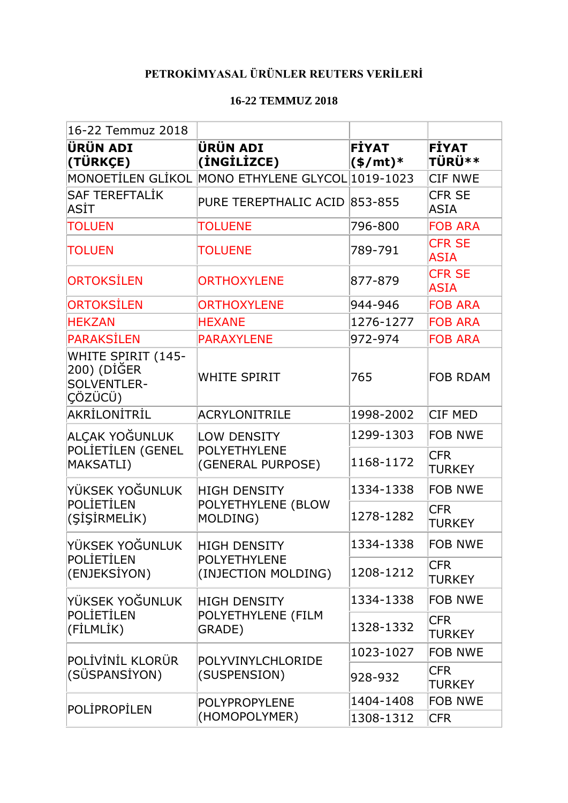## **PETROKİMYASAL ÜRÜNLER REUTERS VERİLERİ**

## **16-22 TEMMUZ 2018**

| 16-22 Temmuz 2018                                                          |                                                     |                                          |                               |
|----------------------------------------------------------------------------|-----------------------------------------------------|------------------------------------------|-------------------------------|
| ÜRÜN ADI<br>(TÜRKÇE)                                                       | <b>ÜRÜN ADI</b><br>(INGILIZCE)                      | <b>FİYAT</b><br>$(\frac{\epsilon}{m})^*$ | <b>FİYAT</b><br><b>TÜRÜ**</b> |
| <b>MONOETİLEN GLİKOL</b>                                                   | MONO ETHYLENE GLYCOL 1019-1023                      |                                          | <b>CIF NWE</b>                |
| <b>SAF TEREFTALIK</b><br>ASİT                                              | PURE TEREPTHALIC ACID 853-855                       |                                          | <b>CFR SE</b><br><b>ASIA</b>  |
| <b>TOLUEN</b>                                                              | <b>TOLUENE</b>                                      | 796-800                                  | <b>FOB ARA</b>                |
| <b>TOLUEN</b>                                                              | <b>TOLUENE</b>                                      | 789-791                                  | <b>CFR SE</b><br><b>ASIA</b>  |
| <b>ORTOKSİLEN</b>                                                          | <b>ORTHOXYLENE</b>                                  | 877-879                                  | <b>CFR SE</b><br><b>ASIA</b>  |
| <b>ORTOKSİLEN</b>                                                          | <b>ORTHOXYLENE</b>                                  | 944-946                                  | <b>FOB ARA</b>                |
| <b>HEKZAN</b>                                                              | <b>HEXANE</b>                                       | 1276-1277                                | <b>FOB ARA</b>                |
| PARAKSİLEN                                                                 | <b>PARAXYLENE</b>                                   | 972-974                                  | <b>FOB ARA</b>                |
| <b>WHITE SPIRIT (145-</b><br>200) (DİĞER<br><b>SOLVENTLER-</b><br> ÇÖZÜCÜ) | WHITE SPIRIT                                        | 765                                      | <b>FOB RDAM</b>               |
| AKRİLONİTRİL                                                               | ACRYLONITRILE                                       | 1998-2002                                | <b>CIF MED</b>                |
| ALÇAK YOĞUNLUK                                                             | LOW DENSITY<br>POLYETHYLENE<br>(GENERAL PURPOSE)    | 1299-1303                                | <b>FOB NWE</b>                |
| POLİETİLEN (GENEL<br>MAKSATLI)                                             |                                                     | 1168-1172                                | <b>CFR</b><br><b>TURKEY</b>   |
| YÜKSEK YOĞUNLUK                                                            | <b>HIGH DENSITY</b>                                 | 1334-1338                                | <b>FOB NWE</b>                |
| POLİETİLEN<br>(ŞİŞİRMELİK)                                                 | POLYETHYLENE (BLOW<br>MOLDING)                      | 1278-1282                                | <b>CFR</b><br><b>TURKEY</b>   |
| YÜKSEK YOĞUNLUK                                                            | <b>HIGH DENSITY</b>                                 | 1334-1338                                | <b>FOB NWE</b>                |
| POLİETİLEN<br>(ENJEKSİYON)                                                 | <b>POLYETHYLENE</b><br>(INJECTION MOLDING)          | 1208-1212                                | <b>CFR</b><br>TURKEY          |
| YÜKSEK YOĞUNLUK                                                            | <b>HIGH DENSITY</b><br>POLYETHYLENE (FILM<br>GRADE) | 1334-1338                                | <b>FOB NWE</b>                |
| POLİETİLEN<br>(FİLMLİK)                                                    |                                                     | 1328-1332                                | <b>CFR</b><br><b>TURKEY</b>   |
| POLİVİNİL KLORÜR<br>(SÜSPANSİYON)                                          | POLYVINYLCHLORIDE                                   | 1023-1027                                | <b>FOB NWE</b>                |
|                                                                            | (SUSPENSION)                                        | 928-932                                  | <b>CFR</b><br>TURKEY          |
| POLIPROPILEN                                                               | <b>POLYPROPYLENE</b><br>(HOMOPOLYMER)               | 1404-1408                                | <b>FOB NWE</b>                |
|                                                                            |                                                     | 1308-1312                                | <b>CFR</b>                    |